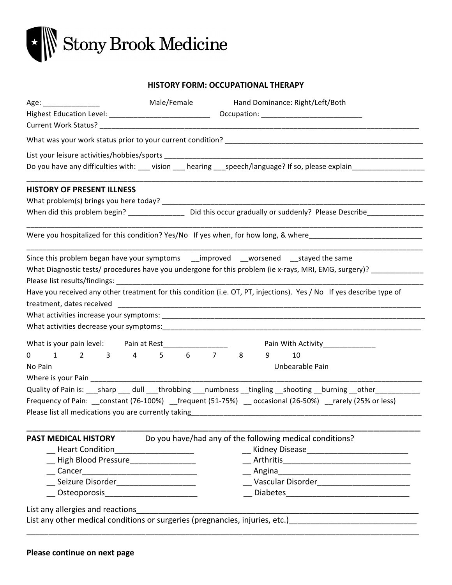

## **HISTORY FORM: OCCUPATIONAL THERAPY**

| Age: ________________                                                                                              |  | Male/Female Hand Dominance: Right/Left/Both                                                                              |  |  |  |  |
|--------------------------------------------------------------------------------------------------------------------|--|--------------------------------------------------------------------------------------------------------------------------|--|--|--|--|
|                                                                                                                    |  |                                                                                                                          |  |  |  |  |
|                                                                                                                    |  |                                                                                                                          |  |  |  |  |
|                                                                                                                    |  |                                                                                                                          |  |  |  |  |
|                                                                                                                    |  |                                                                                                                          |  |  |  |  |
|                                                                                                                    |  | Do you have any difficulties with: ___ vision ___ hearing ___speech/language? If so, please explain______________        |  |  |  |  |
| <b>HISTORY OF PRESENT ILLNESS</b>                                                                                  |  |                                                                                                                          |  |  |  |  |
|                                                                                                                    |  |                                                                                                                          |  |  |  |  |
|                                                                                                                    |  | When did this problem begin? ________________ Did this occur gradually or suddenly? Please Describe___________           |  |  |  |  |
|                                                                                                                    |  | Were you hospitalized for this condition? Yes/No If yes when, for how long, & where___________________________           |  |  |  |  |
|                                                                                                                    |  | Since this problem began have your symptoms improved worsened stayed the same                                            |  |  |  |  |
|                                                                                                                    |  | What Diagnostic tests/ procedures have you undergone for this problem (ie x-rays, MRI, EMG, surgery)? _____________      |  |  |  |  |
|                                                                                                                    |  |                                                                                                                          |  |  |  |  |
|                                                                                                                    |  |                                                                                                                          |  |  |  |  |
|                                                                                                                    |  | Have you received any other treatment for this condition (i.e. OT, PT, injections). Yes / No If yes describe type of     |  |  |  |  |
|                                                                                                                    |  |                                                                                                                          |  |  |  |  |
|                                                                                                                    |  |                                                                                                                          |  |  |  |  |
|                                                                                                                    |  |                                                                                                                          |  |  |  |  |
|                                                                                                                    |  |                                                                                                                          |  |  |  |  |
| 1 2 3 4 5 6 7 8<br>$\mathbf{0}$                                                                                    |  | What is your pain level: Pain at Rest_______________________ Pain With Activity______________<br>10<br>9                 |  |  |  |  |
|                                                                                                                    |  | Unbearable Pain                                                                                                          |  |  |  |  |
|                                                                                                                    |  |                                                                                                                          |  |  |  |  |
|                                                                                                                    |  | Quality of Pain is: _____ sharp _____ dull ______throbbing _____ numbness ____tingling ____shooting ____burning ___other |  |  |  |  |
| No Pain                                                                                                            |  |                                                                                                                          |  |  |  |  |
|                                                                                                                    |  | Frequency of Pain: __constant (76-100%) __frequent (51-75%) __ occasional (26-50%) __rarely (25% or less)                |  |  |  |  |
|                                                                                                                    |  |                                                                                                                          |  |  |  |  |
|                                                                                                                    |  | Do you have/had any of the following medical conditions?                                                                 |  |  |  |  |
| <b>Heart Condition</b>                                                                                             |  |                                                                                                                          |  |  |  |  |
| High Blood Pressure National Assets                                                                                |  |                                                                                                                          |  |  |  |  |
|                                                                                                                    |  | Angina Angina ang ang ang panahanang manangang manangang manangang manangang manangang manangang manangang man           |  |  |  |  |
| <b>PAST MEDICAL HISTORY</b><br>Seizure Disorder_______________________<br>__ Osteoporosis_________________________ |  | Vascular Disorder__________________________                                                                              |  |  |  |  |

\_\_\_\_\_\_\_\_\_\_\_\_\_\_\_\_\_\_\_\_\_\_\_\_\_\_\_\_\_\_\_\_\_\_\_\_\_\_\_\_\_\_\_\_\_\_\_\_\_\_\_\_\_\_\_\_\_\_\_\_\_\_\_\_\_\_\_\_\_\_\_\_\_\_\_\_\_\_\_\_\_\_\_\_\_\_\_\_\_